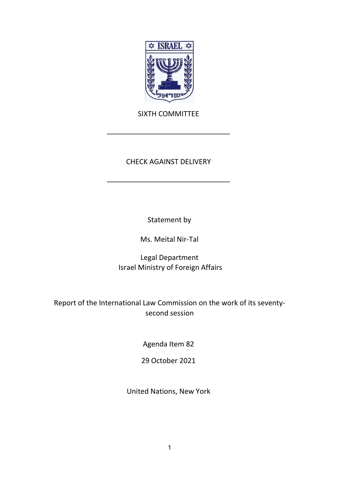

# SIXTH COMMITTEE

\_\_\_\_\_\_\_\_\_\_\_\_\_\_\_\_\_\_\_\_\_\_\_\_\_\_\_\_\_\_\_

# CHECK AGAINST DELIVERY

\_\_\_\_\_\_\_\_\_\_\_\_\_\_\_\_\_\_\_\_\_\_\_\_\_\_\_\_\_\_\_

Statement by

Ms. Meital Nir-Tal

Legal Department Israel Ministry of Foreign Affairs

Report of the International Law Commission on the work of its seventysecond session

Agenda Item 82

29 October 2021

United Nations, New York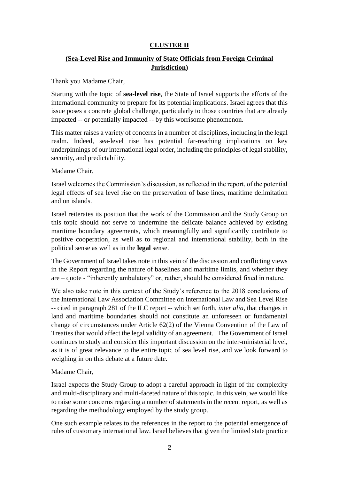## **CLUSTER II**

## **(Sea-Level Rise and Immunity of State Officials from Foreign Criminal Jurisdiction)**

Thank you Madame Chair,

Starting with the topic of **sea-level rise**, the State of Israel supports the efforts of the international community to prepare for its potential implications. Israel agrees that this issue poses a concrete global challenge, particularly to those countries that are already impacted -- or potentially impacted -- by this worrisome phenomenon.

This matter raises a variety of concerns in a number of disciplines, including in the legal realm. Indeed, sea-level rise has potential far-reaching implications on key underpinnings of our international legal order, including the principles of legal stability, security, and predictability.

Madame Chair,

Israel welcomes the Commission's discussion, as reflected in the report, of the potential legal effects of sea level rise on the preservation of base lines, maritime delimitation and on islands.

Israel reiterates its position that the work of the Commission and the Study Group on this topic should not serve to undermine the delicate balance achieved by existing maritime boundary agreements, which meaningfully and significantly contribute to positive cooperation, as well as to regional and international stability, both in the political sense as well as in the **legal** sense.

The Government of Israel takes note in this vein of the discussion and conflicting views in the Report regarding the nature of baselines and maritime limits, and whether they are – quote - "inherently ambulatory" or, rather, should be considered fixed in nature.

We also take note in this context of the Study's reference to the 2018 conclusions of the International Law Association Committee on International Law and Sea Level Rise -- cited in paragraph 281 of the ILC report -- which set forth, *inter alia*, that changes in land and maritime boundaries should not constitute an unforeseen or fundamental change of circumstances under Article 62(2) of the Vienna Convention of the Law of Treaties that would affect the legal validity of an agreement. The Government of Israel continues to study and consider this important discussion on the inter-ministerial level, as it is of great relevance to the entire topic of sea level rise, and we look forward to weighing in on this debate at a future date.

## Madame Chair,

Israel expects the Study Group to adopt a careful approach in light of the complexity and multi-disciplinary and multi-faceted nature of this topic. In this vein, we would like to raise some concerns regarding a number of statements in the recent report, as well as regarding the methodology employed by the study group.

One such example relates to the references in the report to the potential emergence of rules of customary international law. Israel believes that given the limited state practice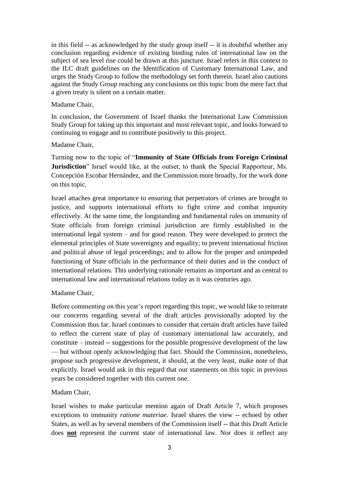in this field -- as acknowledged by the study group itself -- it is doubtful whether any conclusion regarding evidence of existing binding rules of international law on the subject of sea level rise could be drawn at this juncture*.* Israel refers in this context to the ILC draft guidelines on the Identification of Customary International Law, and urges the Study Group to follow the methodology set forth therein. Israel also cautions against the Study Group reaching any conclusions on this topic from the mere fact that a given treaty is silent on a certain matter.

#### Madame Chair,

In conclusion, the Government of Israel thanks the International Law Commission Study Group for taking up this important and most relevant topic, and looks forward to continuing to engage and to contribute positively to this project.

## Madame Chair,

Turning now to the topic of "**Immunity of State Officials from Foreign Criminal Jurisdiction**" Israel would like, at the outset, to thank the Special Rapporteur, Ms. Concepción Escobar Hernández, and the Commission more broadly, for the work done on this topic.

Israel attaches great importance to ensuring that perpetrators of crimes are brought to justice, and supports international efforts to fight crime and combat impunity effectively. At the same time, the longstanding and fundamental rules on immunity of State officials from foreign criminal jurisdiction are firmly established in the international legal system – and for good reason. They were developed to protect the elemental principles of State sovereignty and equality; to prevent international friction and political abuse of legal proceedings; and to allow for the proper and unimpeded functioning of State officials in the performance of their duties and in the conduct of international relations. This underlying rationale remains as important and as central to international law and international relations today as it was centuries ago.

## Madame Chair,

Before commenting on this year's report regarding this topic, we would like to reiterate our concerns regarding several of the draft articles provisionally adopted by the Commission thus far. Israel continues to consider that certain draft articles have failed to reflect the current state of play of customary international law accurately, and constitute – instead -- suggestions for the possible progressive development of the law — but without openly acknowledging that fact. Should the Commission, nonetheless, propose such progressive development, it should, at the very least, make note of that explicitly. Israel would ask in this regard that our statements on this topic in previous years be considered together with this current one.

## Madam Chair,

Israel wishes to make particular mention again of Draft Article 7, which proposes exceptions to immunity *ratione materiae*. Israel shares the view -- echoed by other States, as well as by several members of the Commission itself -- that this Draft Article does **not** represent the current state of international law. Nor does it reflect any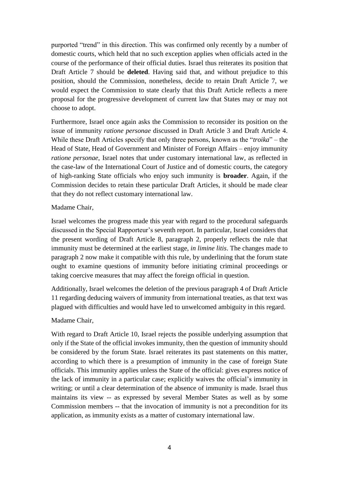purported "trend" in this direction. This was confirmed only recently by a number of domestic courts, which held that no such exception applies when officials acted in the course of the performance of their official duties. Israel thus reiterates its position that Draft Article 7 should be **deleted**. Having said that, and without prejudice to this position, should the Commission, nonetheless, decide to retain Draft Article 7, we would expect the Commission to state clearly that this Draft Article reflects a mere proposal for the progressive development of current law that States may or may not choose to adopt.

Furthermore, Israel once again asks the Commission to reconsider its position on the issue of immunity *ratione personae* discussed in Draft Article 3 and Draft Article 4. While these Draft Articles specify that only three persons, known as the "*troika*" – the Head of State, Head of Government and Minister of Foreign Affairs – enjoy immunity *ratione personae*, Israel notes that under customary international law, as reflected in the case-law of the International Court of Justice and of domestic courts, the category of high-ranking State officials who enjoy such immunity is **broader**. Again, if the Commission decides to retain these particular Draft Articles, it should be made clear that they do not reflect customary international law.

#### Madame Chair,

Israel welcomes the progress made this year with regard to the procedural safeguards discussed in the Special Rapporteur's seventh report. In particular, Israel considers that the present wording of Draft Article 8, paragraph 2, properly reflects the rule that immunity must be determined at the earliest stage, *in limine litis*. The changes made to paragraph 2 now make it compatible with this rule, by underlining that the forum state ought to examine questions of immunity before initiating criminal proceedings or taking coercive measures that may affect the foreign official in question.

Additionally, Israel welcomes the deletion of the previous paragraph 4 of Draft Article 11 regarding deducing waivers of immunity from international treaties, as that text was plagued with difficulties and would have led to unwelcomed ambiguity in this regard.

## Madame Chair,

With regard to Draft Article 10, Israel rejects the possible underlying assumption that only if the State of the official invokes immunity, then the question of immunity should be considered by the forum State. Israel reiterates its past statements on this matter, according to which there is a presumption of immunity in the case of foreign State officials. This immunity applies unless the State of the official: gives express notice of the lack of immunity in a particular case; explicitly waives the official's immunity in writing; or until a clear determination of the absence of immunity is made. Israel thus maintains its view -- as expressed by several Member States as well as by some Commission members -- that the invocation of immunity is not a precondition for its application, as immunity exists as a matter of customary international law.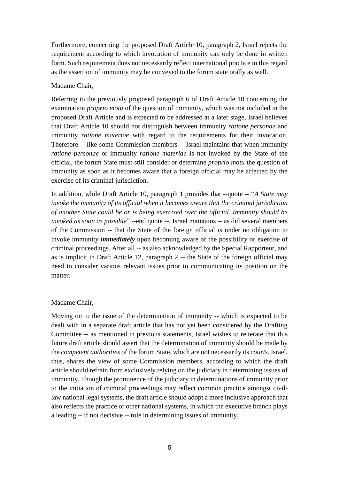Furthermore, concerning the proposed Draft Article 10, paragraph 2, Israel rejects the requirement according to which invocation of immunity can only be done in written form. Such requirement does not necessarily reflect international practice in this regard as the assertion of immunity may be conveyed to the forum state orally as well.

#### Madame Chair,

Referring to the previously proposed paragraph 6 of Draft Article 10 concerning the examination *proprio motu* of the question of immunity, which was not included in the proposed Draft Article and is expected to be addressed at a later stage, Israel believes that Draft Article 10 should not distinguish between immunity *ratione personae* and immunity *ratione materiae* with regard to the requirements for their invocation. Therefore -- like some Commission members -- Israel maintains that when immunity *ratione personae* or immunity *ratione materiae* is not invoked by the State of the official, the forum State must still consider or determine *proprio motu* the question of immunity as soon as it becomes aware that a foreign official may be affected by the exercise of its criminal jurisdiction.

In addition, while Draft Article 10, paragraph 1 provides that --quote -- "*A State may invoke the immunity of its official when it becomes aware that the criminal jurisdiction of another State could be or is being exercised over the official. Immunity should be invoked as soon as possible*" --end quote --, Israel maintains -- as did several members of the Commission -- that the State of the foreign official is under no obligation to invoke immunity *immediately* upon becoming aware of the possibility or exercise of criminal proceedings. After all -- as also acknowledged by the Special Rapporteur, and as is implicit in Draft Article 12, paragraph 2 -- the State of the foreign official may need to consider various relevant issues prior to communicating its position on the matter.

#### Madame Chair,

Moving on to the issue of the determination of immunity -- which is expected to be dealt with in a separate draft article that has not yet been considered by the Drafting Committee -- as mentioned in previous statements, Israel wishes to reiterate that this future draft article should assert that the determination of immunity should be made by the *competent authorities* of the forum State, which are not necessarily its *courts*. Israel, thus, shares the view of some Commission members, according to which the draft article should refrain from exclusively relying on the judiciary in determining issues of immunity. Though the prominence of the judiciary in determinations of immunity prior to the initiation of criminal proceedings may reflect common practice amongst civillaw national legal systems, the draft article should adopt a more inclusive approach that also reflects the practice of other national systems, in which the executive branch plays a leading -- if not decisive -- role in determining issues of immunity.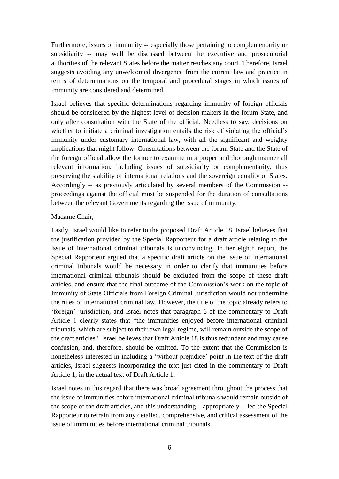Furthermore, issues of immunity -- especially those pertaining to complementarity or subsidiarity -- may well be discussed between the executive and prosecutorial authorities of the relevant States before the matter reaches any court. Therefore, Israel suggests avoiding any unwelcomed divergence from the current law and practice in terms of determinations on the temporal and procedural stages in which issues of immunity are considered and determined.

Israel believes that specific determinations regarding immunity of foreign officials should be considered by the highest-level of decision makers in the forum State, and only after consultation with the State of the official. Needless to say, decisions on whether to initiate a criminal investigation entails the risk of violating the official's immunity under customary international law, with all the significant and weighty implications that might follow. Consultations between the forum State and the State of the foreign official allow the former to examine in a proper and thorough manner all relevant information, including issues of subsidiarity or complementarity, thus preserving the stability of international relations and the sovereign equality of States. Accordingly -- as previously articulated by several members of the Commission - proceedings against the official must be suspended for the duration of consultations between the relevant Governments regarding the issue of immunity.

#### Madame Chair,

Lastly, Israel would like to refer to the proposed Draft Article 18. Israel believes that the justification provided by the Special Rapporteur for a draft article relating to the issue of international criminal tribunals is unconvincing. In her eighth report, the Special Rapporteur argued that a specific draft article on the issue of international criminal tribunals would be necessary in order to clarify that immunities before international criminal tribunals should be excluded from the scope of these draft articles, and ensure that the final outcome of the Commission's work on the topic of Immunity of State Officials from Foreign Criminal Jurisdiction would not undermine the rules of international criminal law. However, the title of the topic already refers to 'foreign' jurisdiction, and Israel notes that paragraph 6 of the commentary to Draft Article 1 clearly states that "the immunities enjoyed before international criminal tribunals, which are subject to their own legal regime, will remain outside the scope of the draft articles". Israel believes that Draft Article 18 is thus redundant and may cause confusion, and, therefore. should be omitted. To the extent that the Commission is nonetheless interested in including a 'without prejudice' point in the text of the draft articles, Israel suggests incorporating the text just cited in the commentary to Draft Article 1, in the actual text of Draft Article 1.

Israel notes in this regard that there was broad agreement throughout the process that the issue of immunities before international criminal tribunals would remain outside of the scope of the draft articles, and this understanding – appropriately -- led the Special Rapporteur to refrain from any detailed, comprehensive, and critical assessment of the issue of immunities before international criminal tribunals.